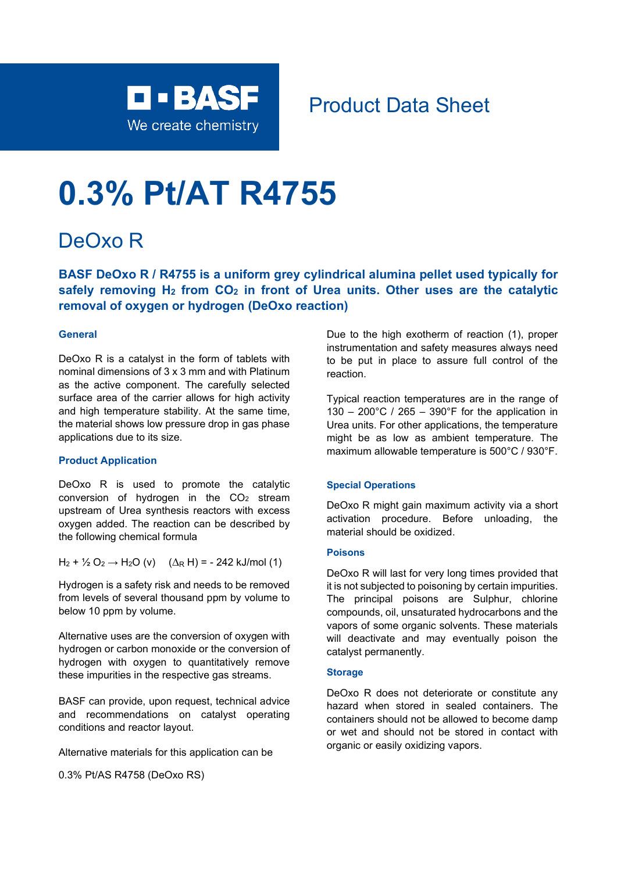

# Product Data Sheet

# **0.3% Pt/AT R4755**

# DeOxo R

**BASF DeOxo R / R4755 is a uniform grey cylindrical alumina pellet used typically for safely removing H2 from CO2 in front of Urea units. Other uses are the catalytic removal of oxygen or hydrogen (DeOxo reaction)**

## **General**

DeOxo R is a catalyst in the form of tablets with nominal dimensions of 3 x 3 mm and with Platinum as the active component. The carefully selected surface area of the carrier allows for high activity and high temperature stability. At the same time, the material shows low pressure drop in gas phase applications due to its size.

#### **Product Application**

DeOxo R is used to promote the catalytic conversion of hydrogen in the  $CO<sub>2</sub>$  stream upstream of Urea synthesis reactors with excess oxygen added. The reaction can be described by the following chemical formula

H<sub>2</sub> + ½ O<sub>2</sub> → H<sub>2</sub>O (v) ( $\Delta$ <sub>R</sub> H) = - 242 kJ/mol (1)

Hydrogen is a safety risk and needs to be removed from levels of several thousand ppm by volume to below 10 ppm by volume.

Alternative uses are the conversion of oxygen with hydrogen or carbon monoxide or the conversion of hydrogen with oxygen to quantitatively remove these impurities in the respective gas streams.

BASF can provide, upon request, technical advice and recommendations on catalyst operating conditions and reactor layout.

Alternative materials for this application can be

0.3% Pt/AS R4758 (DeOxo RS)

Due to the high exotherm of reaction (1), proper instrumentation and safety measures always need to be put in place to assure full control of the reaction.

Typical reaction temperatures are in the range of 130 – 200°C / 265 – 390°F for the application in Urea units. For other applications, the temperature might be as low as ambient temperature. The maximum allowable temperature is 500°C / 930°F.

## **Special Operations**

DeOxo R might gain maximum activity via a short activation procedure. Before unloading, the material should be oxidized.

#### **Poisons**

DeOxo R will last for very long times provided that it is not subjected to poisoning by certain impurities. The principal poisons are Sulphur, chlorine compounds, oil, unsaturated hydrocarbons and the vapors of some organic solvents. These materials will deactivate and may eventually poison the catalyst permanently.

#### **Storage**

DeOxo R does not deteriorate or constitute any hazard when stored in sealed containers. The containers should not be allowed to become damp or wet and should not be stored in contact with organic or easily oxidizing vapors.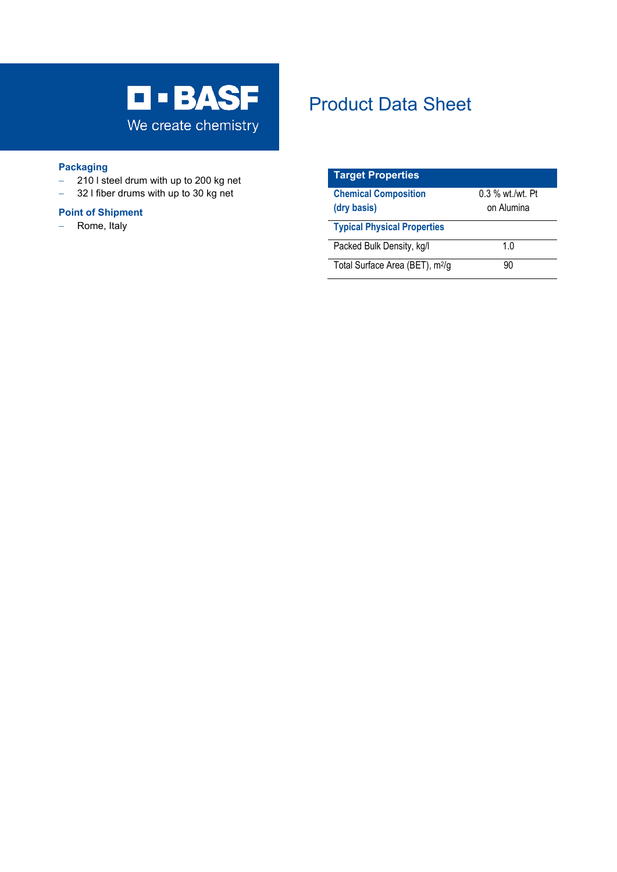

## **Packaging**

- − 210 l steel drum with up to 200 kg net
- − 32 l fiber drums with up to 30 kg net

## **Point of Shipment**

− Rome, Italy

# Product Data Sheet

| <b>Target Properties</b>                    |                  |
|---------------------------------------------|------------------|
| <b>Chemical Composition</b>                 | 0.3 % wt./wt. Pt |
| (dry basis)                                 | on Alumina       |
| <b>Typical Physical Properties</b>          |                  |
| Packed Bulk Density, kg/l                   | 1 በ              |
| Total Surface Area (BET), m <sup>2</sup> /g | 90               |